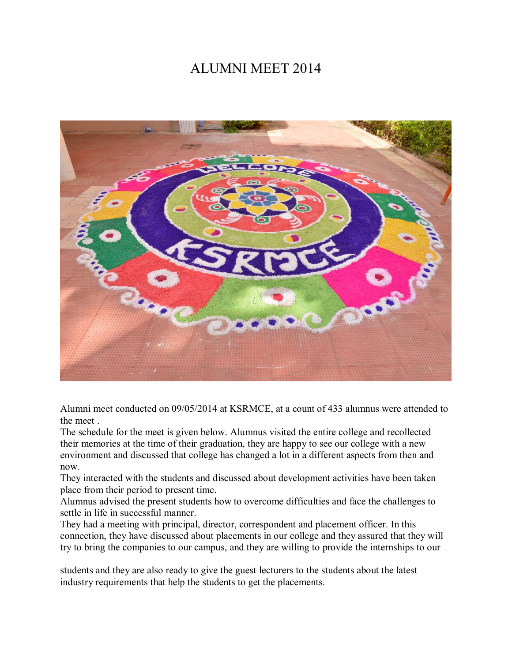## ALUMNI MEET 2014



Alumni meet conducted on 09/05/2014 at KSRMCE, at a count of 433 alumnus were attended to the meet

The schedule for the meet is given below. Alumnus visited the entire college and recollected their memories at the time of their graduation, they are happy to see our college with a new environment and discussed that college has changed a lot in a different aspects from then and now.

They interacted with the students and discussed about development activities have been taken place from their period to present time.

Alumnus advised the present students how to overcome difficulties and face the challenges to settle in life in successful manner.

They had a meeting with principal, director, correspondent and placement officer. In this connection, they have discussed about placements in our college and they assured that they will try to bring the companies to our campus, and they are willing to provide the internships to our

students and they are also ready to give the guest lecturers to the students about the latest industry requirements that help the students to get the placements.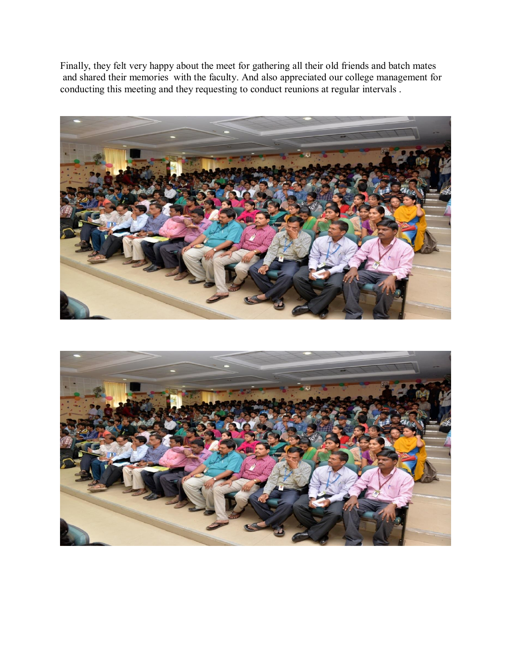Finally, they felt very happy about the meet for gathering all their old friends and batch mates and shared their memories with the faculty. And also appreciated our college management for conducting this meeting and they requesting to conduct reunions at regular intervals .